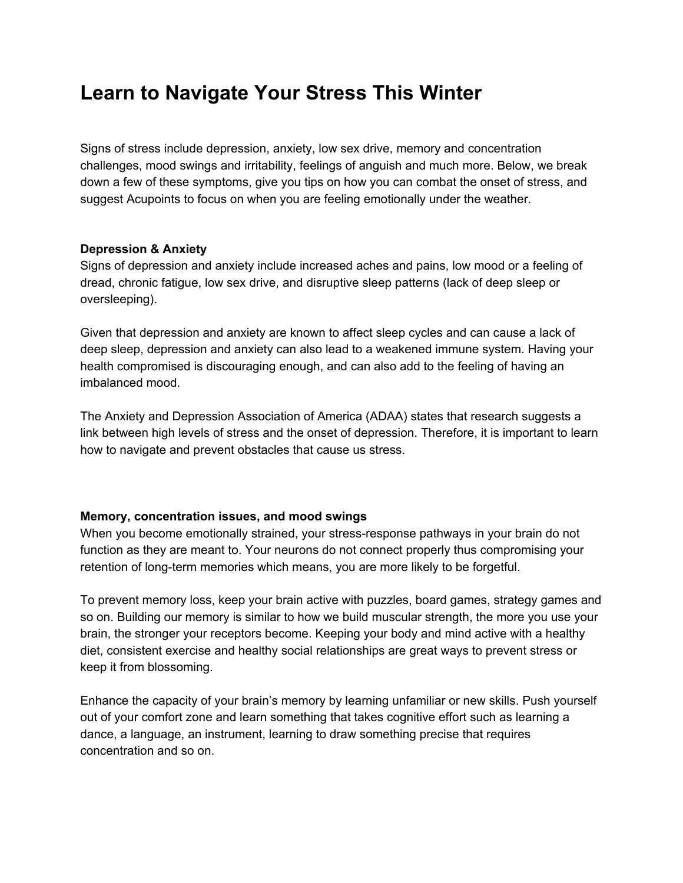## **Learn to Navigate Your Stress This Winter**

Signs of stress include depression, anxiety, low sex drive, memory and concentration challenges, mood swings and irritability, feelings of anguish and much more. Below, we break down a few of these symptoms, give you tips on how you can combat the onset of stress, and suggest Acupoints to focus on when you are feeling emotionally under the weather.

## **Depression & Anxiety**

Signs of depression and anxiety include increased aches and pains, low mood or a feeling of dread, chronic fatigue, low sex drive, and disruptive sleep patterns (lack of deep sleep or oversleeping).

Given that depression and anxiety are known to affect sleep cycles and can cause a lack of deep sleep, depression and anxiety can also lead to a weakened immune system. Having your health compromised is discouraging enough, and can also add to the feeling of having an imbalanced mood.

The Anxiety and Depression Association of America (ADAA) states that research suggests a link between high levels of stress and the onset of depression. Therefore, it is important to learn how to navigate and prevent obstacles that cause us stress.

## **Memory, concentration issues, and mood swings**

When you become emotionally strained, your stress-response pathways in your brain do not function as they are meant to. Your neurons do not connect properly thus compromising your retention of long-term memories which means, you are more likely to be forgetful.

To prevent memory loss, keep your brain active with puzzles, board games, strategy games and so on. Building our memory is similar to how we build muscular strength, the more you use your brain, the stronger your receptors become. Keeping your body and mind active with a healthy diet, consistent exercise and healthy social relationships are great ways to prevent stress or keep it from blossoming.

Enhance the capacity of your brain's memory by learning unfamiliar or new skills. Push yourself out of your comfort zone and learn something that takes cognitive effort such as learning a dance, a language, an instrument, learning to draw something precise that requires concentration and so on.